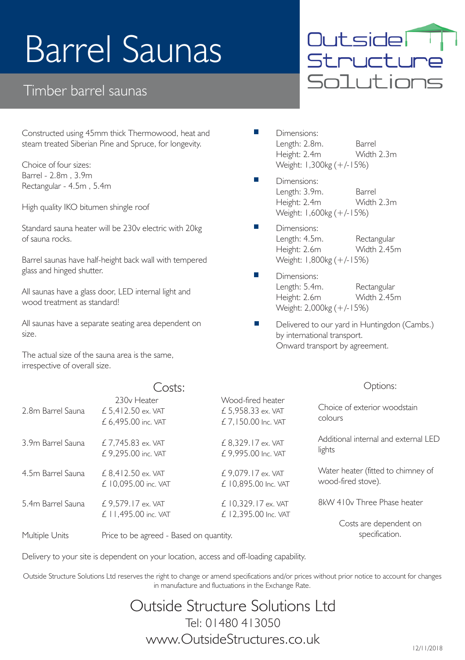# Barrel Saunas

### Timber barrel saunas

Constructed using 45mm thick Thermowood, heat and steam treated Siberian Pine and Spruce, for longevity.

Choice of four sizes: Barrel - 2.8m , 3.9m Rectangular - 4.5m , 5.4m

High quality IKO bitumen shingle roof

Standard sauna heater will be 230v electric with 20kg of sauna rocks.

Barrel saunas have half-height back wall with tempered glass and hinged shutter.

All saunas have a glass door, LED internal light and wood treatment as standard!

All saunas have a separate seating area dependent on size.

The actual size of the sauna area is the same, irrespective of overall size.

### $C_{\alpha}$ cter

Outsider sacsiae:<br>Structure Solut ions

- Dimensions: Length: 2.8m. Barrel Height: 2.4m Weight: 1,300kg (+/-15%)
- Dimensions: Length: 3.9m. Barrel<br>Height: 2.4m Width 2.3m Height: 2.4m Weight: 1,600kg (+/-15%)
- Dimensions: Length: 4.5m. Rectangular Height: 2.6m Weight: 1,800kg (+/-15%)
- Dimensions: Length: 5.4m. Rectangular Height: 2.6m Weight: 2,000kg (+/-15%)
- Delivered to our yard in Huntingdon (Cambs.) by international transport. Onward transport by agreement.

#### Options:

|                   | CUSLS.                                                               |                                                                 | ------                                                   |  |
|-------------------|----------------------------------------------------------------------|-----------------------------------------------------------------|----------------------------------------------------------|--|
| 2.8m Barrel Sauna | 230 <sub>v</sub> Heater<br>£ 5.412.50 ex. VAT<br>£ 6.495.00 inc. VAT | Wood-fired heater<br>$£$ 5.958.33 ex. VAT<br>£7.150.00 Inc. VAT | Choice of exterior woodstain<br>colours                  |  |
| 3.9m Barrel Sauna | $£ 7.745.83$ ex. VAT<br>£9.295.00 inc. VAT                           | £ 8,329.17 ex. VAT<br>£9.995.00 Inc. VAT                        | Additional internal and external I FD<br>lights          |  |
| 4.5m Barrel Sauna | $£ 8.412.50$ ex. VAT<br>£ 10.095.00 inc. VAT                         | £9.079.17 ex. VAT<br>£ 10.895.00 Inc. VAT                       | Water heater (fitted to chimney of<br>wood-fired stove). |  |
| 5.4m Barrel Sauna | £ 9.579.17 ex. VAT<br>£ 11.495.00 inc. VAT                           | $£$ 10.329, 17 ex. VAT<br>£ 12.395.00 Inc. VAT                  | 8kW 410v Three Phase heater                              |  |
| Multiple Units    | Price to be agreed - Based on quantity.                              |                                                                 | Costs are dependent on<br>specification.                 |  |

Delivery to your site is dependent on your location, access and off-loading capability.

Outside Structure Solutions Ltd reserves the right to change or amend specifications and/or prices without prior notice to account for changes in manufacture and fluctuations in the Exchange Rate.

## Outside Structure Solutions Ltd Tel: 01480 413050 www.OutsideStructures.co.uk